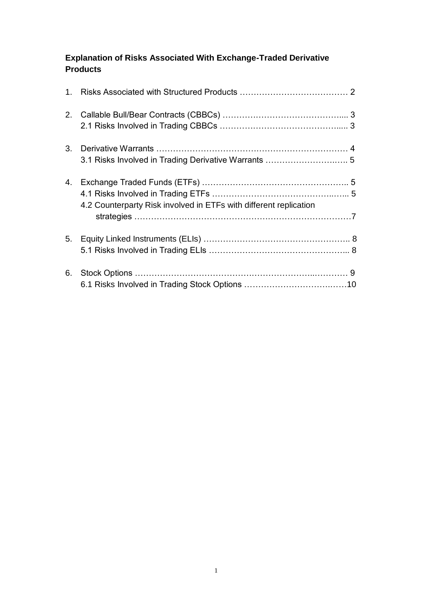# **Explanation of Risks Associated With Exchange-Traded Derivative Products**

|    | 3.1 Risks Involved in Trading Derivative Warrants  5              |  |
|----|-------------------------------------------------------------------|--|
|    | 4.2 Counterparty Risk involved in ETFs with different replication |  |
| 5. |                                                                   |  |
| 6. |                                                                   |  |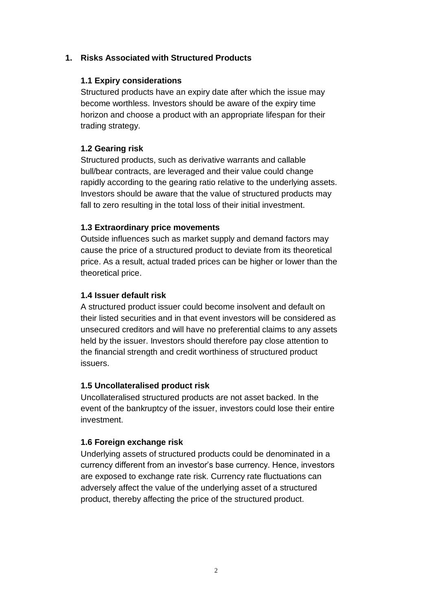### **1. Risks Associated with Structured Products**

#### **1.1 Expiry considerations**

Structured products have an expiry date after which the issue may become worthless. Investors should be aware of the expiry time horizon and choose a product with an appropriate lifespan for their trading strategy.

#### **1.2 Gearing risk**

Structured products, such as derivative warrants and callable bull/bear contracts, are leveraged and their value could change rapidly according to the gearing ratio relative to the underlying assets. Investors should be aware that the value of structured products may fall to zero resulting in the total loss of their initial investment.

#### **1.3 Extraordinary price movements**

Outside influences such as market supply and demand factors may cause the price of a structured product to deviate from its theoretical price. As a result, actual traded prices can be higher or lower than the theoretical price.

#### **1.4 Issuer default risk**

A structured product issuer could become insolvent and default on their listed securities and in that event investors will be considered as unsecured creditors and will have no preferential claims to any assets held by the issuer. Investors should therefore pay close attention to the financial strength and credit worthiness of structured product issuers.

#### **1.5 Uncollateralised product risk**

Uncollateralised structured products are not asset backed. In the event of the bankruptcy of the issuer, investors could lose their entire investment.

#### **1.6 Foreign exchange risk**

Underlying assets of structured products could be denominated in a currency different from an investor's base currency. Hence, investors are exposed to exchange rate risk. Currency rate fluctuations can adversely affect the value of the underlying asset of a structured product, thereby affecting the price of the structured product.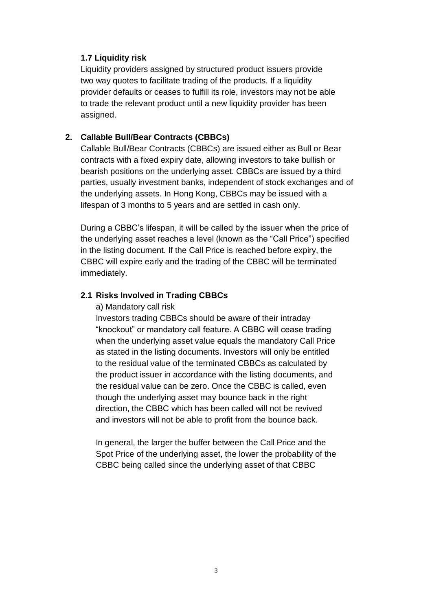#### **1.7 Liquidity risk**

Liquidity providers assigned by structured product issuers provide two way quotes to facilitate trading of the products. If a liquidity provider defaults or ceases to fulfill its role, investors may not be able to trade the relevant product until a new liquidity provider has been assigned.

### **2. Callable Bull/Bear Contracts (CBBCs)**

Callable Bull/Bear Contracts (CBBCs) are issued either as Bull or Bear contracts with a fixed expiry date, allowing investors to take bullish or bearish positions on the underlying asset. CBBCs are issued by a third parties, usually investment banks, independent of stock exchanges and of the underlying assets. In Hong Kong, CBBCs may be issued with a lifespan of 3 months to 5 years and are settled in cash only.

During a CBBC's lifespan, it will be called by the issuer when the price of the underlying asset reaches a level (known as the "Call Price") specified in the listing document. If the Call Price is reached before expiry, the CBBC will expire early and the trading of the CBBC will be terminated immediately.

### **2.1 Risks Involved in Trading CBBCs**

a) Mandatory call risk

Investors trading CBBCs should be aware of their intraday "knockout" or mandatory call feature. A CBBC will cease trading when the underlying asset value equals the mandatory Call Price as stated in the listing documents. Investors will only be entitled to the residual value of the terminated CBBCs as calculated by the product issuer in accordance with the listing documents, and the residual value can be zero. Once the CBBC is called, even though the underlying asset may bounce back in the right direction, the CBBC which has been called will not be revived and investors will not be able to profit from the bounce back.

In general, the larger the buffer between the Call Price and the Spot Price of the underlying asset, the lower the probability of the CBBC being called since the underlying asset of that CBBC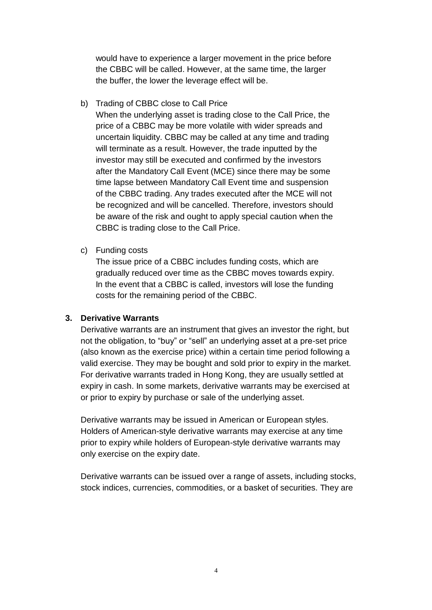would have to experience a larger movement in the price before the CBBC will be called. However, at the same time, the larger the buffer, the lower the leverage effect will be.

b) Trading of CBBC close to Call Price

When the underlying asset is trading close to the Call Price, the price of a CBBC may be more volatile with wider spreads and uncertain liquidity. CBBC may be called at any time and trading will terminate as a result. However, the trade inputted by the investor may still be executed and confirmed by the investors after the Mandatory Call Event (MCE) since there may be some time lapse between Mandatory Call Event time and suspension of the CBBC trading. Any trades executed after the MCE will not be recognized and will be cancelled. Therefore, investors should be aware of the risk and ought to apply special caution when the CBBC is trading close to the Call Price.

c) Funding costs

The issue price of a CBBC includes funding costs, which are gradually reduced over time as the CBBC moves towards expiry. In the event that a CBBC is called, investors will lose the funding costs for the remaining period of the CBBC.

#### **3. Derivative Warrants**

Derivative warrants are an instrument that gives an investor the right, but not the obligation, to "buy" or "sell" an underlying asset at a pre-set price (also known as the exercise price) within a certain time period following a valid exercise. They may be bought and sold prior to expiry in the market. For derivative warrants traded in Hong Kong, they are usually settled at expiry in cash. In some markets, derivative warrants may be exercised at or prior to expiry by purchase or sale of the underlying asset.

Derivative warrants may be issued in American or European styles. Holders of American-style derivative warrants may exercise at any time prior to expiry while holders of European-style derivative warrants may only exercise on the expiry date.

Derivative warrants can be issued over a range of assets, including stocks, stock indices, currencies, commodities, or a basket of securities. They are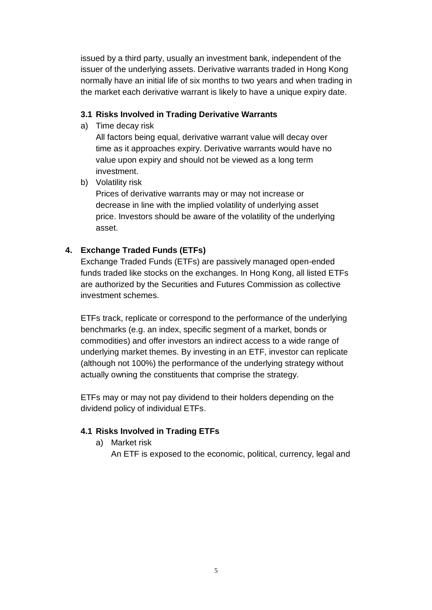issued by a third party, usually an investment bank, independent of the issuer of the underlying assets. Derivative warrants traded in Hong Kong normally have an initial life of six months to two years and when trading in the market each derivative warrant is likely to have a unique expiry date.

### **3.1 Risks Involved in Trading Derivative Warrants**

a) Time decay risk

All factors being equal, derivative warrant value will decay over time as it approaches expiry. Derivative warrants would have no value upon expiry and should not be viewed as a long term investment.

b) Volatility risk

Prices of derivative warrants may or may not increase or decrease in line with the implied volatility of underlying asset price. Investors should be aware of the volatility of the underlying asset.

## **4. Exchange Traded Funds (ETFs)**

Exchange Traded Funds (ETFs) are passively managed open-ended funds traded like stocks on the exchanges. In Hong Kong, all listed ETFs are authorized by the Securities and Futures Commission as collective investment schemes.

ETFs track, replicate or correspond to the performance of the underlying benchmarks (e.g. an index, specific segment of a market, bonds or commodities) and offer investors an indirect access to a wide range of underlying market themes. By investing in an ETF, investor can replicate (although not 100%) the performance of the underlying strategy without actually owning the constituents that comprise the strategy.

ETFs may or may not pay dividend to their holders depending on the dividend policy of individual ETFs.

## **4.1 Risks Involved in Trading ETFs**

a) Market risk

An ETF is exposed to the economic, political, currency, legal and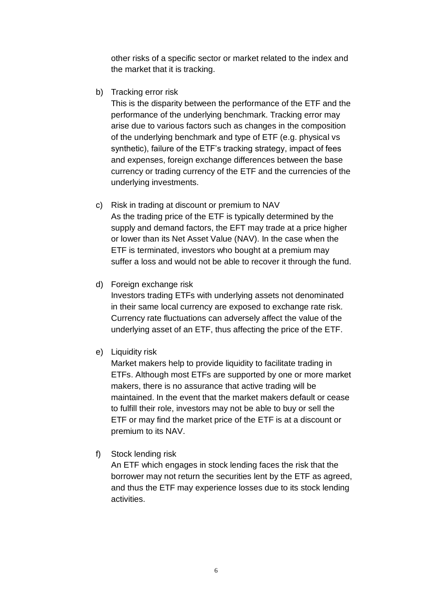other risks of a specific sector or market related to the index and the market that it is tracking.

b) Tracking error risk

This is the disparity between the performance of the ETF and the performance of the underlying benchmark. Tracking error may arise due to various factors such as changes in the composition of the underlying benchmark and type of ETF (e.g. physical vs synthetic), failure of the ETF's tracking strategy, impact of fees and expenses, foreign exchange differences between the base currency or trading currency of the ETF and the currencies of the underlying investments.

- c) Risk in trading at discount or premium to NAV As the trading price of the ETF is typically determined by the supply and demand factors, the EFT may trade at a price higher or lower than its Net Asset Value (NAV). In the case when the ETF is terminated, investors who bought at a premium may suffer a loss and would not be able to recover it through the fund.
- d) Foreign exchange risk

Investors trading ETFs with underlying assets not denominated in their same local currency are exposed to exchange rate risk. Currency rate fluctuations can adversely affect the value of the underlying asset of an ETF, thus affecting the price of the ETF.

e) Liquidity risk

Market makers help to provide liquidity to facilitate trading in ETFs. Although most ETFs are supported by one or more market makers, there is no assurance that active trading will be maintained. In the event that the market makers default or cease to fulfill their role, investors may not be able to buy or sell the ETF or may find the market price of the ETF is at a discount or premium to its NAV.

f) Stock lending risk

An ETF which engages in stock lending faces the risk that the borrower may not return the securities lent by the ETF as agreed, and thus the ETF may experience losses due to its stock lending activities.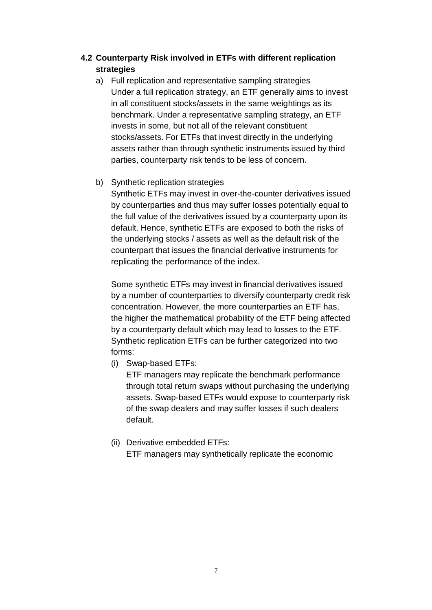## **4.2 Counterparty Risk involved in ETFs with different replication strategies**

a) Full replication and representative sampling strategies Under a full replication strategy, an ETF generally aims to invest in all constituent stocks/assets in the same weightings as its benchmark. Under a representative sampling strategy, an ETF invests in some, but not all of the relevant constituent stocks/assets. For ETFs that invest directly in the underlying assets rather than through synthetic instruments issued by third parties, counterparty risk tends to be less of concern.

### b) Synthetic replication strategies

Synthetic ETFs may invest in over-the-counter derivatives issued by counterparties and thus may suffer losses potentially equal to the full value of the derivatives issued by a counterparty upon its default. Hence, synthetic ETFs are exposed to both the risks of the underlying stocks / assets as well as the default risk of the counterpart that issues the financial derivative instruments for replicating the performance of the index.

Some synthetic ETFs may invest in financial derivatives issued by a number of counterparties to diversify counterparty credit risk concentration. However, the more counterparties an ETF has, the higher the mathematical probability of the ETF being affected by a counterparty default which may lead to losses to the ETF. Synthetic replication ETFs can be further categorized into two forms:

(i) Swap-based ETFs:

ETF managers may replicate the benchmark performance through total return swaps without purchasing the underlying assets. Swap-based ETFs would expose to counterparty risk of the swap dealers and may suffer losses if such dealers default.

(ii) Derivative embedded ETFs:

ETF managers may synthetically replicate the economic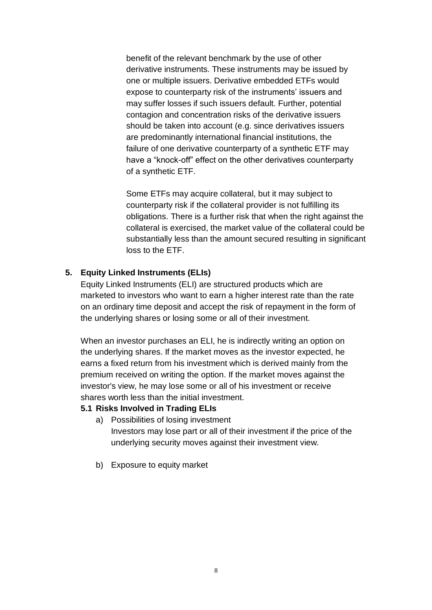benefit of the relevant benchmark by the use of other derivative instruments. These instruments may be issued by one or multiple issuers. Derivative embedded ETFs would expose to counterparty risk of the instruments' issuers and may suffer losses if such issuers default. Further, potential contagion and concentration risks of the derivative issuers should be taken into account (e.g. since derivatives issuers are predominantly international financial institutions, the failure of one derivative counterparty of a synthetic ETF may have a "knock-off" effect on the other derivatives counterparty of a synthetic ETF.

Some ETFs may acquire collateral, but it may subject to counterparty risk if the collateral provider is not fulfilling its obligations. There is a further risk that when the right against the collateral is exercised, the market value of the collateral could be substantially less than the amount secured resulting in significant loss to the ETF.

#### **5. Equity Linked Instruments (ELIs)**

Equity Linked Instruments (ELI) are structured products which are marketed to investors who want to earn a higher interest rate than the rate on an ordinary time deposit and accept the risk of repayment in the form of the underlying shares or losing some or all of their investment.

When an investor purchases an ELI, he is indirectly writing an option on the underlying shares. If the market moves as the investor expected, he earns a fixed return from his investment which is derived mainly from the premium received on writing the option. If the market moves against the investor's view, he may lose some or all of his investment or receive shares worth less than the initial investment.

#### **5.1 Risks Involved in Trading ELIs**

- a) Possibilities of losing investment Investors may lose part or all of their investment if the price of the underlying security moves against their investment view.
- b) Exposure to equity market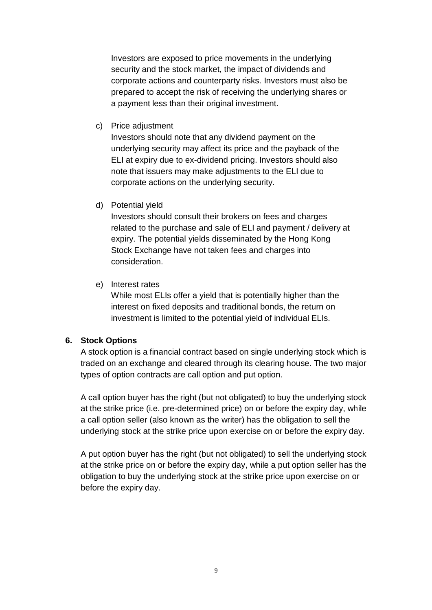Investors are exposed to price movements in the underlying security and the stock market, the impact of dividends and corporate actions and counterparty risks. Investors must also be prepared to accept the risk of receiving the underlying shares or a payment less than their original investment.

c) Price adjustment

Investors should note that any dividend payment on the underlying security may affect its price and the payback of the ELI at expiry due to ex-dividend pricing. Investors should also note that issuers may make adjustments to the ELI due to corporate actions on the underlying security.

d) Potential yield

Investors should consult their brokers on fees and charges related to the purchase and sale of ELI and payment / delivery at expiry. The potential yields disseminated by the Hong Kong Stock Exchange have not taken fees and charges into consideration.

e) Interest rates

While most ELIs offer a yield that is potentially higher than the interest on fixed deposits and traditional bonds, the return on investment is limited to the potential yield of individual ELIs.

#### **6. Stock Options**

A stock option is a financial contract based on single underlying stock which is traded on an exchange and cleared through its clearing house. The two major types of option contracts are call option and put option.

A call option buyer has the right (but not obligated) to buy the underlying stock at the strike price (i.e. pre-determined price) on or before the expiry day, while a call option seller (also known as the writer) has the obligation to sell the underlying stock at the strike price upon exercise on or before the expiry day.

A put option buyer has the right (but not obligated) to sell the underlying stock at the strike price on or before the expiry day, while a put option seller has the obligation to buy the underlying stock at the strike price upon exercise on or before the expiry day.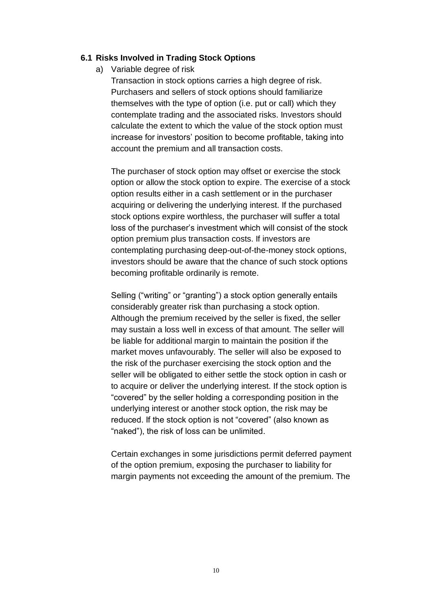#### **6.1 Risks Involved in Trading Stock Options**

a) Variable degree of risk

Transaction in stock options carries a high degree of risk. Purchasers and sellers of stock options should familiarize themselves with the type of option (i.e. put or call) which they contemplate trading and the associated risks. Investors should calculate the extent to which the value of the stock option must increase for investors' position to become profitable, taking into account the premium and all transaction costs.

The purchaser of stock option may offset or exercise the stock option or allow the stock option to expire. The exercise of a stock option results either in a cash settlement or in the purchaser acquiring or delivering the underlying interest. If the purchased stock options expire worthless, the purchaser will suffer a total loss of the purchaser's investment which will consist of the stock option premium plus transaction costs. If investors are contemplating purchasing deep-out-of-the-money stock options, investors should be aware that the chance of such stock options becoming profitable ordinarily is remote.

Selling ("writing" or "granting") a stock option generally entails considerably greater risk than purchasing a stock option. Although the premium received by the seller is fixed, the seller may sustain a loss well in excess of that amount. The seller will be liable for additional margin to maintain the position if the market moves unfavourably. The seller will also be exposed to the risk of the purchaser exercising the stock option and the seller will be obligated to either settle the stock option in cash or to acquire or deliver the underlying interest. If the stock option is "covered" by the seller holding a corresponding position in the underlying interest or another stock option, the risk may be reduced. If the stock option is not "covered" (also known as "naked"), the risk of loss can be unlimited.

Certain exchanges in some jurisdictions permit deferred payment of the option premium, exposing the purchaser to liability for margin payments not exceeding the amount of the premium. The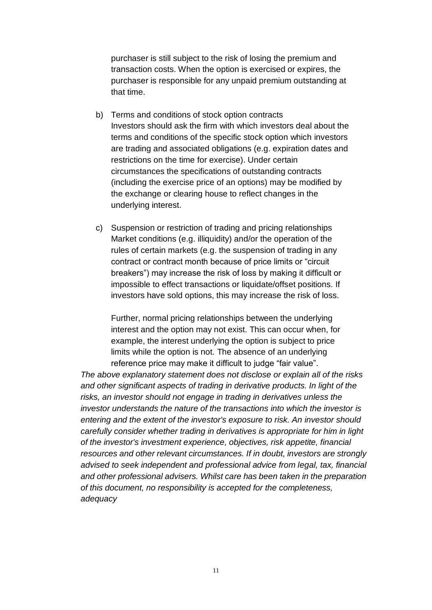purchaser is still subject to the risk of losing the premium and transaction costs. When the option is exercised or expires, the purchaser is responsible for any unpaid premium outstanding at that time.

- b) Terms and conditions of stock option contracts Investors should ask the firm with which investors deal about the terms and conditions of the specific stock option which investors are trading and associated obligations (e.g. expiration dates and restrictions on the time for exercise). Under certain circumstances the specifications of outstanding contracts (including the exercise price of an options) may be modified by the exchange or clearing house to reflect changes in the underlying interest.
- c) Suspension or restriction of trading and pricing relationships Market conditions (e.g. illiquidity) and/or the operation of the rules of certain markets (e.g. the suspension of trading in any contract or contract month because of price limits or "circuit breakers") may increase the risk of loss by making it difficult or impossible to effect transactions or liquidate/offset positions. If investors have sold options, this may increase the risk of loss.

Further, normal pricing relationships between the underlying interest and the option may not exist. This can occur when, for example, the interest underlying the option is subject to price limits while the option is not. The absence of an underlying reference price may make it difficult to judge "fair value".

*The above explanatory statement does not disclose or explain all of the risks and other significant aspects of trading in derivative products. In light of the risks, an investor should not engage in trading in derivatives unless the investor understands the nature of the transactions into which the investor is entering and the extent of the investor's exposure to risk. An investor should carefully consider whether trading in derivatives is appropriate for him in light of the investor's investment experience, objectives, risk appetite, financial resources and other relevant circumstances. If in doubt, investors are strongly advised to seek independent and professional advice from legal, tax, financial and other professional advisers. Whilst care has been taken in the preparation of this document, no responsibility is accepted for the completeness, adequacy*